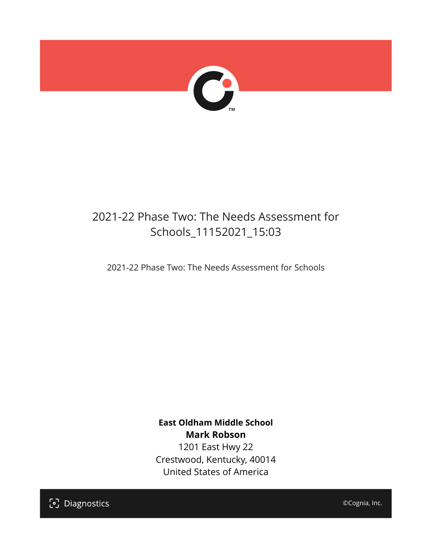

## 2021-22 Phase Two: The Needs Assessment for Schools\_11152021\_15:03

2021-22 Phase Two: The Needs Assessment for Schools

**East Oldham Middle School Mark Robson** 1201 East Hwy 22 Crestwood, Kentucky, 40014 United States of America

[၁] Diagnostics

©Cognia, Inc.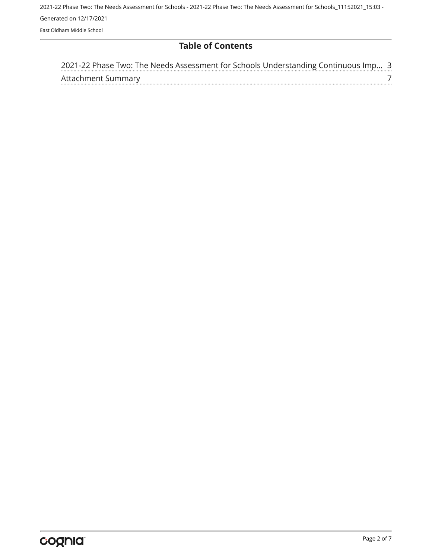2021-22 Phase Two: The Needs Assessment for Schools - 2021-22 Phase Two: The Needs Assessment for Schools\_11152021\_15:03 - Generated on 12/17/2021 East Oldham Middle School

#### **Table of Contents**

| 2021-22 Phase Two: The Needs Assessment for Schools Understanding Continuous Imp 3 |  |
|------------------------------------------------------------------------------------|--|
| Attachment Summary                                                                 |  |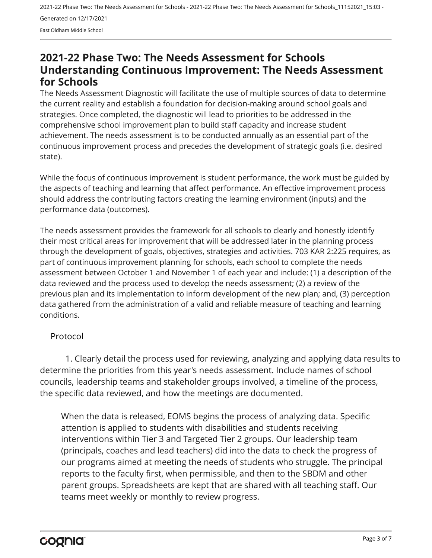2021-22 Phase Two: The Needs Assessment for Schools - 2021-22 Phase Two: The Needs Assessment for Schools\_11152021\_15:03 - Generated on 12/17/2021 East Oldham Middle School

### <span id="page-2-0"></span>**2021-22 Phase Two: The Needs Assessment for Schools Understanding Continuous Improvement: The Needs Assessment for Schools**

The Needs Assessment Diagnostic will facilitate the use of multiple sources of data to determine the current reality and establish a foundation for decision-making around school goals and strategies. Once completed, the diagnostic will lead to priorities to be addressed in the comprehensive school improvement plan to build staff capacity and increase student achievement. The needs assessment is to be conducted annually as an essential part of the continuous improvement process and precedes the development of strategic goals (i.e. desired state).

While the focus of continuous improvement is student performance, the work must be guided by the aspects of teaching and learning that affect performance. An effective improvement process should address the contributing factors creating the learning environment (inputs) and the performance data (outcomes).

The needs assessment provides the framework for all schools to clearly and honestly identify their most critical areas for improvement that will be addressed later in the planning process through the development of goals, objectives, strategies and activities. 703 KAR 2:225 requires, as part of continuous improvement planning for schools, each school to complete the needs assessment between October 1 and November 1 of each year and include: (1) a description of the data reviewed and the process used to develop the needs assessment; (2) a review of the previous plan and its implementation to inform development of the new plan; and, (3) perception data gathered from the administration of a valid and reliable measure of teaching and learning conditions.

#### Protocol

1. Clearly detail the process used for reviewing, analyzing and applying data results to determine the priorities from this year's needs assessment. Include names of school councils, leadership teams and stakeholder groups involved, a timeline of the process, the specific data reviewed, and how the meetings are documented.

When the data is released, EOMS begins the process of analyzing data. Specific attention is applied to students with disabilities and students receiving interventions within Tier 3 and Targeted Tier 2 groups. Our leadership team (principals, coaches and lead teachers) did into the data to check the progress of our programs aimed at meeting the needs of students who struggle. The principal reports to the faculty first, when permissible, and then to the SBDM and other parent groups. Spreadsheets are kept that are shared with all teaching staff. Our teams meet weekly or monthly to review progress.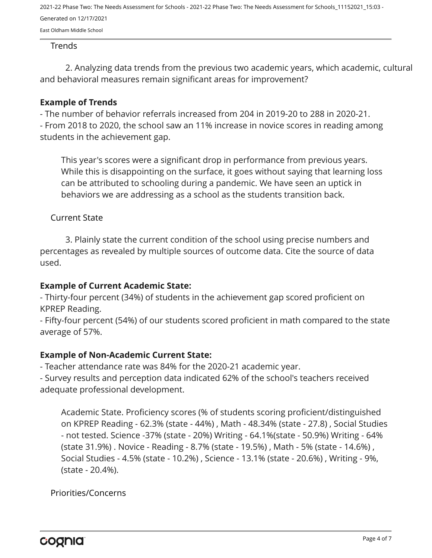2021-22 Phase Two: The Needs Assessment for Schools - 2021-22 Phase Two: The Needs Assessment for Schools\_11152021\_15:03 - Generated on 12/17/2021

East Oldham Middle School

#### Trends

2. Analyzing data trends from the previous two academic years, which academic, cultural and behavioral measures remain significant areas for improvement?

#### **Example of Trends**

- The number of behavior referrals increased from 204 in 2019-20 to 288 in 2020-21. - From 2018 to 2020, the school saw an 11% increase in novice scores in reading among

students in the achievement gap.

This year's scores were a significant drop in performance from previous years. While this is disappointing on the surface, it goes without saying that learning loss can be attributed to schooling during a pandemic. We have seen an uptick in behaviors we are addressing as a school as the students transition back.

#### Current State

3. Plainly state the current condition of the school using precise numbers and percentages as revealed by multiple sources of outcome data. Cite the source of data used.

#### **Example of Current Academic State:**

- Thirty-four percent (34%) of students in the achievement gap scored proficient on KPREP Reading.

- Fifty-four percent (54%) of our students scored proficient in math compared to the state average of 57%.

#### **Example of Non-Academic Current State:**

- Teacher attendance rate was 84% for the 2020-21 academic year.

- Survey results and perception data indicated 62% of the school's teachers received adequate professional development.

Academic State. Proficiency scores (% of students scoring proficient/distinguished on KPREP Reading - 62.3% (state - 44%) , Math - 48.34% (state - 27.8) , Social Studies - not tested. Science -37% (state - 20%) Writing - 64.1%(state - 50.9%) Writing - 64% (state 31.9%) . Novice - Reading - 8.7% (state - 19.5%) , Math - 5% (state - 14.6%) , Social Studies - 4.5% (state - 10.2%) , Science - 13.1% (state - 20.6%) , Writing - 9%, (state - 20.4%).

Priorities/Concerns

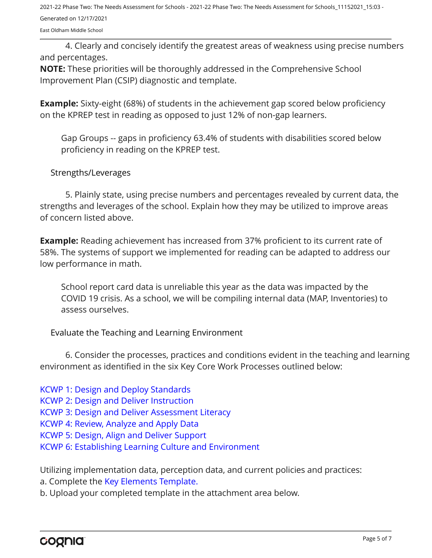2021-22 Phase Two: The Needs Assessment for Schools - 2021-22 Phase Two: The Needs Assessment for Schools\_11152021\_15:03 - Generated on 12/17/2021

East Oldham Middle School

4. Clearly and concisely identify the greatest areas of weakness using precise numbers and percentages.

**NOTE:** These priorities will be thoroughly addressed in the Comprehensive School Improvement Plan (CSIP) diagnostic and template.

**Example:** Sixty-eight (68%) of students in the achievement gap scored below proficiency on the KPREP test in reading as opposed to just 12% of non-gap learners.

Gap Groups -- gaps in proficiency 63.4% of students with disabilities scored below proficiency in reading on the KPREP test.

#### Strengths/Leverages

5. Plainly state, using precise numbers and percentages revealed by current data, the strengths and leverages of the school. Explain how they may be utilized to improve areas of concern listed above.

**Example:** Reading achievement has increased from 37% proficient to its current rate of 58%. The systems of support we implemented for reading can be adapted to address our low performance in math.

School report card data is unreliable this year as the data was impacted by the COVID 19 crisis. As a school, we will be compiling internal data (MAP, Inventories) to assess ourselves.

Evaluate the Teaching and Learning Environment

6. Consider the processes, practices and conditions evident in the teaching and learning environment as identified in the six Key Core Work Processes outlined below:

[KCWP 1: Design and Deploy Standards](https://education.ky.gov/school/csip/Documents/KCWP%201%20Strategic%20Design%20and%20Deploy%20Standards.pdf)

[KCWP 2: Design and Deliver Instruction](https://education.ky.gov/school/csip/Documents/KCWP%202%20Strategic%20Design%20and%20Deliver%20Instruction.pdf)

[KCWP 3: Design and Deliver Assessment Literacy](https://education.ky.gov/school/csip/Documents/KCWP%203%20Strategic%20Design%20and%20Deliver%20Assessment%20Literacy.pdf)

[KCWP 4: Review, Analyze and Apply Data](https://education.ky.gov/school/csip/Documents/KCWP%204%20Strategic%20Review%20Analyze%20and%20Apply%20Data.pdf)

[KCWP 5: Design, Align and Deliver Support](https://education.ky.gov/school/csip/Documents/KCWP%205%20Strategic%20Design%20Align%20Deliver%20Support%20Processes.pdf)

[KCWP 6: Establishing Learning Culture and Environment](https://education.ky.gov/school/csip/Documents/KCWP%206%20Strategic%20Establish%20Learning%20Culture%20and%20Environment.pdf)

Utilizing implementation data, perception data, and current policies and practices:

a. Complete the [Key Elements Template.](https://education.ky.gov/school/csip/Documents/School%20Key%20Elements%20Template.docx)

b. Upload your completed template in the attachment area below.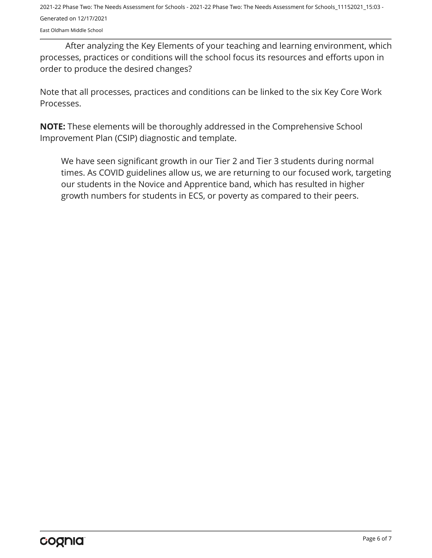2021-22 Phase Two: The Needs Assessment for Schools - 2021-22 Phase Two: The Needs Assessment for Schools\_11152021\_15:03 - Generated on 12/17/2021

East Oldham Middle School

After analyzing the Key Elements of your teaching and learning environment, which processes, practices or conditions will the school focus its resources and efforts upon in order to produce the desired changes?

Note that all processes, practices and conditions can be linked to the six Key Core Work Processes.

**NOTE:** These elements will be thoroughly addressed in the Comprehensive School Improvement Plan (CSIP) diagnostic and template.

We have seen significant growth in our Tier 2 and Tier 3 students during normal times. As COVID guidelines allow us, we are returning to our focused work, targeting our students in the Novice and Apprentice band, which has resulted in higher growth numbers for students in ECS, or poverty as compared to their peers.